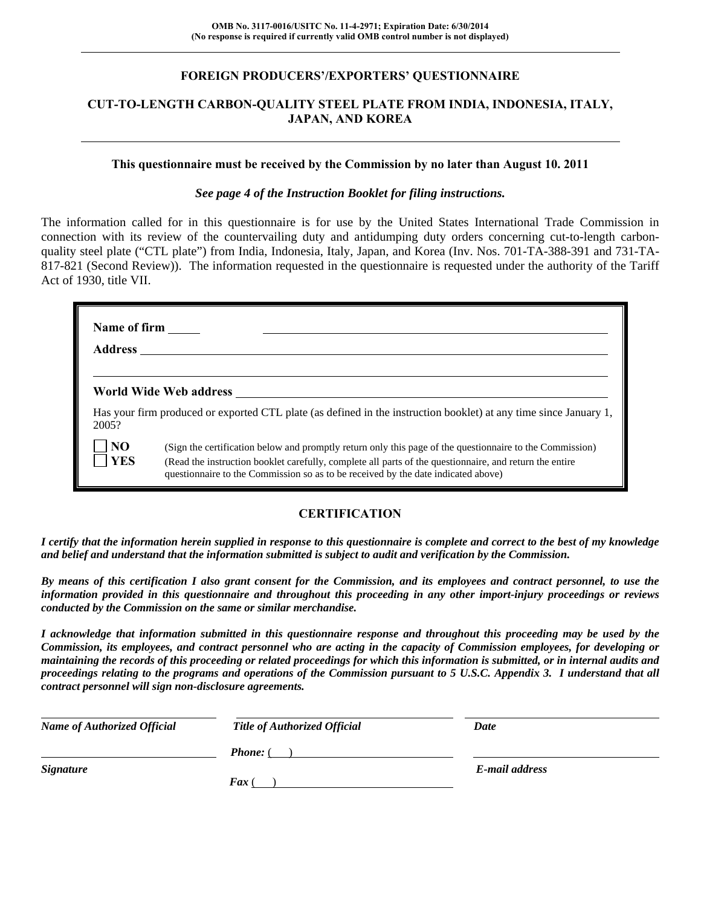#### **FOREIGN PRODUCERS'/EXPORTERS' QUESTIONNAIRE**

### **CUT-TO-LENGTH CARBON-QUALITY STEEL PLATE FROM INDIA, INDONESIA, ITALY, JAPAN, AND KOREA**

#### **This questionnaire must be received by the Commission by no later than August 10. 2011**

#### *See page 4 of the Instruction Booklet for filing instructions.*

The information called for in this questionnaire is for use by the United States International Trade Commission in connection with its review of the countervailing duty and antidumping duty orders concerning cut-to-length carbonquality steel plate ("CTL plate") from India, Indonesia, Italy, Japan, and Korea (Inv. Nos. 701-TA-388-391 and 731-TA-817-821 (Second Review)). The information requested in the questionnaire is requested under the authority of the Tariff Act of 1930, title VII.

| Name of firm<br><b>Address</b> |                                                                                                                                                                                                                                                                                                          |
|--------------------------------|----------------------------------------------------------------------------------------------------------------------------------------------------------------------------------------------------------------------------------------------------------------------------------------------------------|
|                                | World Wide Web address                                                                                                                                                                                                                                                                                   |
| 2005?                          | Has your firm produced or exported CTL plate (as defined in the instruction booklet) at any time since January 1,                                                                                                                                                                                        |
| NO<br><b>YES</b>               | (Sign the certification below and promptly return only this page of the questionnaire to the Commission)<br>(Read the instruction booklet carefully, complete all parts of the questionnaire, and return the entire<br>questionnaire to the Commission so as to be received by the date indicated above) |

## **CERTIFICATION**

*I certify that the information herein supplied in response to this questionnaire is complete and correct to the best of my knowledge and belief and understand that the information submitted is subject to audit and verification by the Commission.* 

*By means of this certification I also grant consent for the Commission, and its employees and contract personnel, to use the information provided in this questionnaire and throughout this proceeding in any other import-injury proceedings or reviews conducted by the Commission on the same or similar merchandise.* 

*I acknowledge that information submitted in this questionnaire response and throughout this proceeding may be used by the Commission, its employees, and contract personnel who are acting in the capacity of Commission employees, for developing or maintaining the records of this proceeding or related proceedings for which this information is submitted, or in internal audits and proceedings relating to the programs and operations of the Commission pursuant to 5 U.S.C. Appendix 3. I understand that all contract personnel will sign non-disclosure agreements.* 

| <b>Name of Authorized Official</b> | Title of Authorized Official | Date           |
|------------------------------------|------------------------------|----------------|
|                                    | <b>Phone:</b> (              |                |
| <b>Signature</b>                   |                              | E-mail address |
|                                    | <b>Fax</b> (                 |                |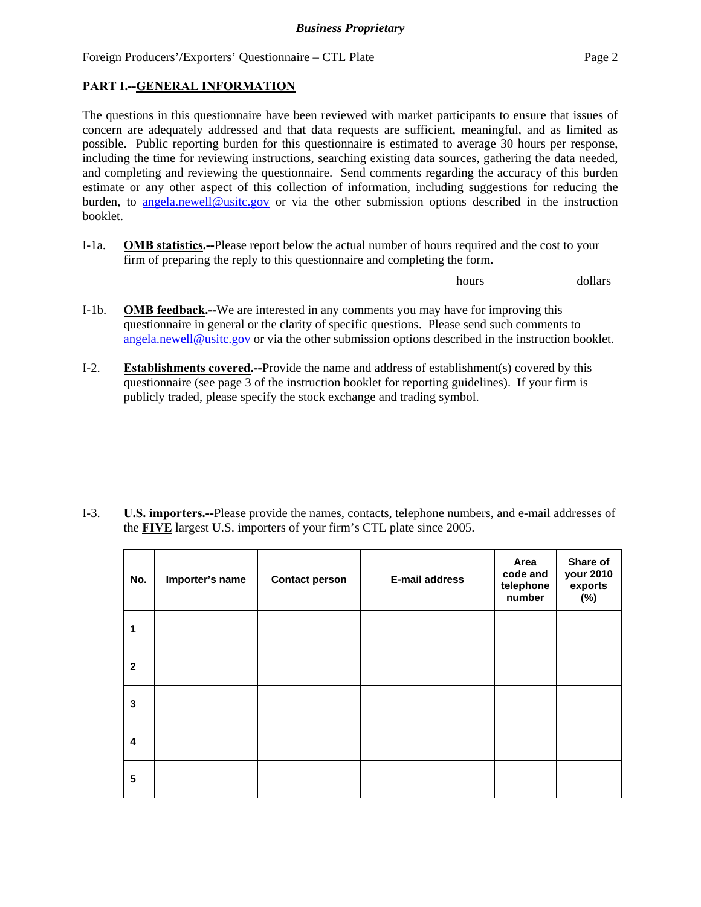## **PART I.--GENERAL INFORMATION**

l

The questions in this questionnaire have been reviewed with market participants to ensure that issues of concern are adequately addressed and that data requests are sufficient, meaningful, and as limited as possible. Public reporting burden for this questionnaire is estimated to average 30 hours per response, including the time for reviewing instructions, searching existing data sources, gathering the data needed, and completing and reviewing the questionnaire. Send comments regarding the accuracy of this burden estimate or any other aspect of this collection of information, including suggestions for reducing the burden, to angela.newell@usitc.gov or via the other submission options described in the instruction booklet.

I-1a. **OMB statistics.--**Please report below the actual number of hours required and the cost to your firm of preparing the reply to this questionnaire and completing the form.

hours dollars

- I-1b. **OMB feedback.--**We are interested in any comments you may have for improving this questionnaire in general or the clarity of specific questions. Please send such comments to angela.newell@usitc.gov or via the other submission options described in the instruction booklet.
- I-2. **Establishments covered.--**Provide the name and address of establishment(s) covered by this questionnaire (see page 3 of the instruction booklet for reporting guidelines). If your firm is publicly traded, please specify the stock exchange and trading symbol.

I-3. **U.S. importers.--**Please provide the names, contacts, telephone numbers, and e-mail addresses of the **FIVE** largest U.S. importers of your firm's CTL plate since 2005.

| No.                     | Importer's name | <b>Contact person</b> | <b>E-mail address</b> | Area<br>code and<br>telephone<br>number | Share of<br>your 2010<br>exports<br>(%) |
|-------------------------|-----------------|-----------------------|-----------------------|-----------------------------------------|-----------------------------------------|
| 1                       |                 |                       |                       |                                         |                                         |
| $\mathbf{2}$            |                 |                       |                       |                                         |                                         |
| 3                       |                 |                       |                       |                                         |                                         |
| $\overline{\mathbf{4}}$ |                 |                       |                       |                                         |                                         |
| 5                       |                 |                       |                       |                                         |                                         |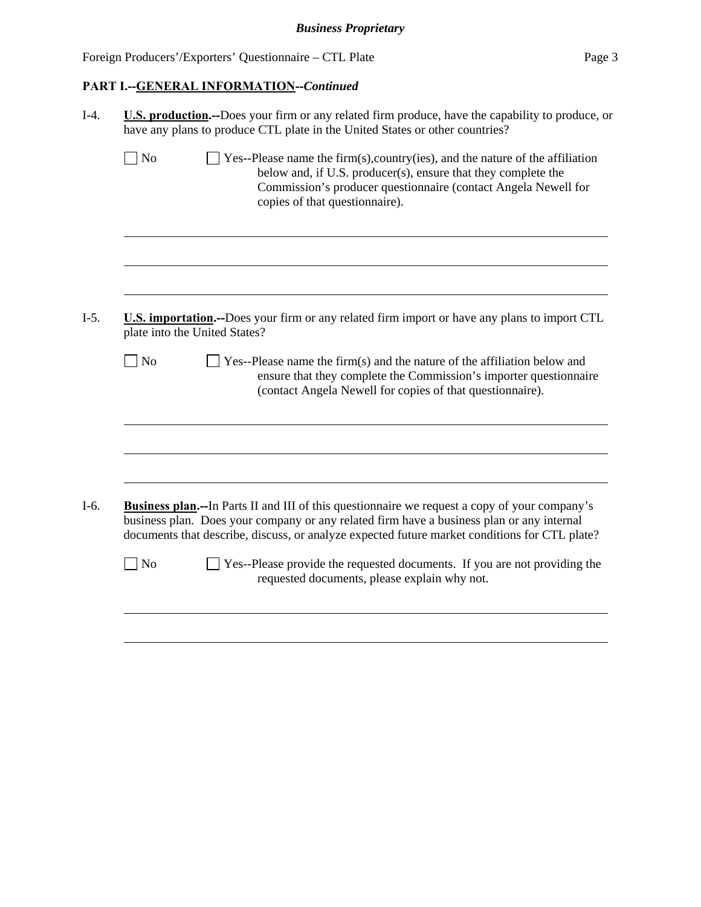# **PART I.--GENERAL INFORMATION--***Continued*

| U.S. production.--Does your firm or any related firm produce, have the capability to produce, or<br>have any plans to produce CTL plate in the United States or other countries? |                                                                                                                                                                                                                                                                                                    |  |  |  |  |  |
|----------------------------------------------------------------------------------------------------------------------------------------------------------------------------------|----------------------------------------------------------------------------------------------------------------------------------------------------------------------------------------------------------------------------------------------------------------------------------------------------|--|--|--|--|--|
| $\Box$ No                                                                                                                                                                        | $\Box$ Yes--Please name the firm(s), country(ies), and the nature of the affiliation<br>below and, if U.S. producer(s), ensure that they complete the<br>Commission's producer questionnaire (contact Angela Newell for<br>copies of that questionnaire).                                          |  |  |  |  |  |
|                                                                                                                                                                                  |                                                                                                                                                                                                                                                                                                    |  |  |  |  |  |
|                                                                                                                                                                                  | <b>U.S. importation.</b> --Does your firm or any related firm import or have any plans to import CTL<br>plate into the United States?                                                                                                                                                              |  |  |  |  |  |
| $\Box$ No                                                                                                                                                                        | $\Box$ Yes--Please name the firm(s) and the nature of the affiliation below and<br>ensure that they complete the Commission's importer questionnaire<br>(contact Angela Newell for copies of that questionnaire).                                                                                  |  |  |  |  |  |
|                                                                                                                                                                                  |                                                                                                                                                                                                                                                                                                    |  |  |  |  |  |
|                                                                                                                                                                                  |                                                                                                                                                                                                                                                                                                    |  |  |  |  |  |
|                                                                                                                                                                                  | <b>Business plan.--In Parts II and III of this questionnaire we request a copy of your company's</b><br>business plan. Does your company or any related firm have a business plan or any internal<br>documents that describe, discuss, or analyze expected future market conditions for CTL plate? |  |  |  |  |  |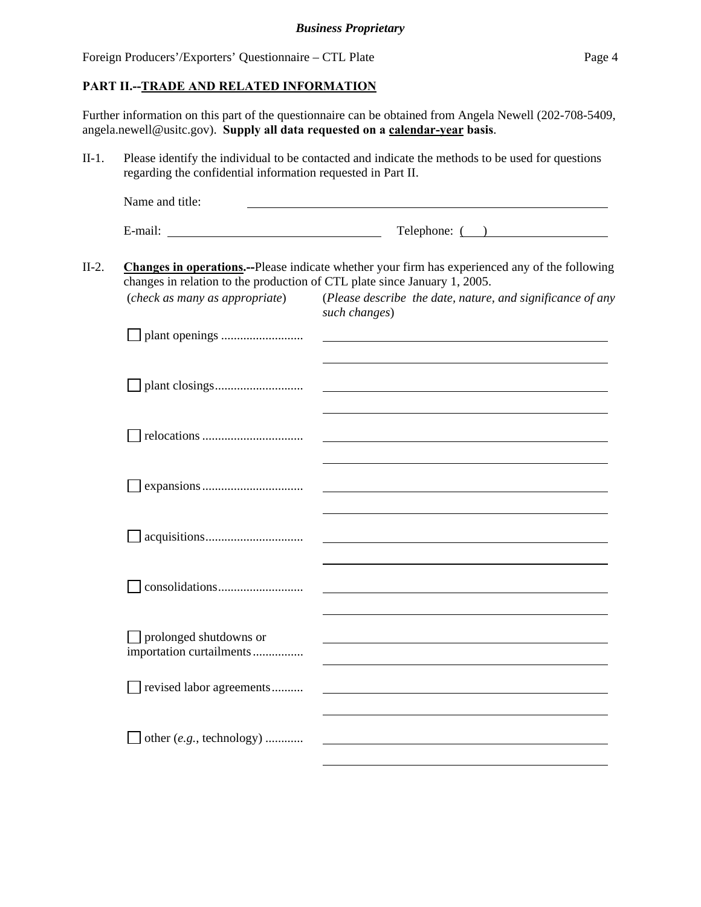#### **PART II.--TRADE AND RELATED INFORMATION**

Further information on this part of the questionnaire can be obtained from Angela Newell (202-708-5409, angela.newell@usitc.gov). **Supply all data requested on a calendar-year basis**.

II-1. Please identify the individual to be contacted and indicate the methods to be used for questions regarding the confidential information requested in Part II.

|         | Name and title:                                                                                             |                                                                                                                                                                                                                               |
|---------|-------------------------------------------------------------------------------------------------------------|-------------------------------------------------------------------------------------------------------------------------------------------------------------------------------------------------------------------------------|
|         |                                                                                                             | $\text{Telephone: } ($ $)$                                                                                                                                                                                                    |
| $II-2.$ | changes in relation to the production of CTL plate since January 1, 2005.<br>(check as many as appropriate) | <b>Changes in operations.</b> --Please indicate whether your firm has experienced any of the following<br>(Please describe the date, nature, and significance of any                                                          |
|         |                                                                                                             | such changes)                                                                                                                                                                                                                 |
|         |                                                                                                             | the control of the control of the control of the control of the control of the control of the control of the control of the control of the control of the control of the control of the control of the control of the control |
|         |                                                                                                             | the control of the control of the control of the control of the control of the control of the control of the control of the control of the control of the control of the control of the control of the control of the control |
|         |                                                                                                             | and the control of the control of the control of the control of the control of the control of the control of the                                                                                                              |
|         |                                                                                                             |                                                                                                                                                                                                                               |

| $\Box$ prolonged shutdowns or<br>importation curtailments |  |
|-----------------------------------------------------------|--|
| $\Box$ revised labor agreements                           |  |
| $\Box$ other (e.g., technology)                           |  |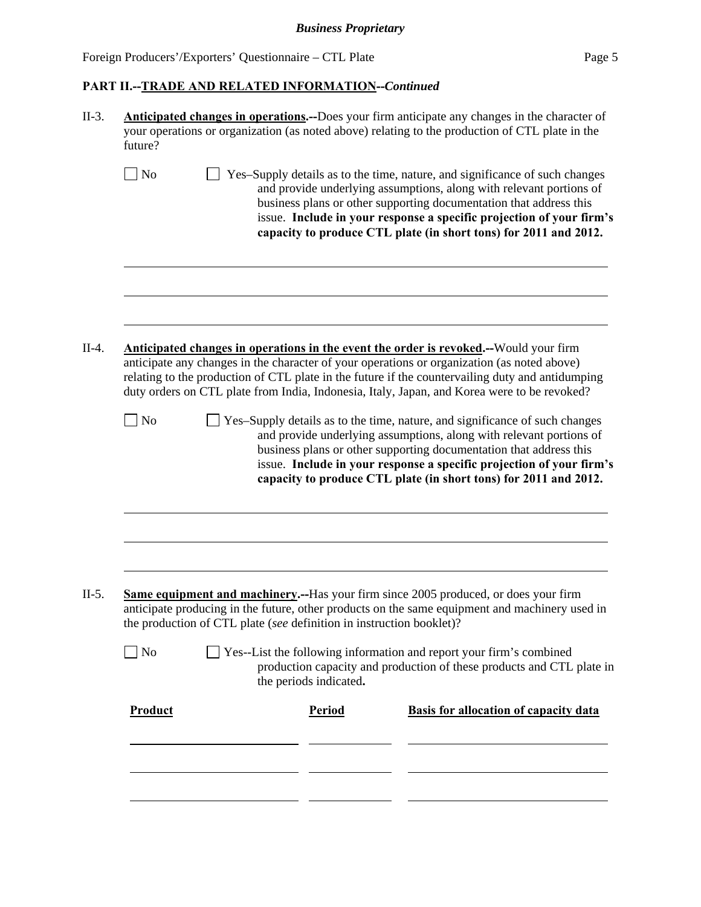| <b>Anticipated changes in operations.</b> --Does your firm anticipate any changes in the character of<br>your operations or organization (as noted above) relating to the production of CTL plate in the<br>future?                                                                                                                                                                             |  |                                                                      |                                                                                                                                                                                                                                                                                                                                                                      |  |  |  |  |
|-------------------------------------------------------------------------------------------------------------------------------------------------------------------------------------------------------------------------------------------------------------------------------------------------------------------------------------------------------------------------------------------------|--|----------------------------------------------------------------------|----------------------------------------------------------------------------------------------------------------------------------------------------------------------------------------------------------------------------------------------------------------------------------------------------------------------------------------------------------------------|--|--|--|--|
| No                                                                                                                                                                                                                                                                                                                                                                                              |  |                                                                      | Yes-Supply details as to the time, nature, and significance of such changes<br>and provide underlying assumptions, along with relevant portions of<br>business plans or other supporting documentation that address this<br>issue. Include in your response a specific projection of your firm's<br>capacity to produce CTL plate (in short tons) for 2011 and 2012. |  |  |  |  |
|                                                                                                                                                                                                                                                                                                                                                                                                 |  |                                                                      |                                                                                                                                                                                                                                                                                                                                                                      |  |  |  |  |
| <b>Anticipated changes in operations in the event the order is revoked.</b> --Would your firm<br>anticipate any changes in the character of your operations or organization (as noted above)<br>relating to the production of CTL plate in the future if the countervailing duty and antidumping<br>duty orders on CTL plate from India, Indonesia, Italy, Japan, and Korea were to be revoked? |  |                                                                      |                                                                                                                                                                                                                                                                                                                                                                      |  |  |  |  |
|                                                                                                                                                                                                                                                                                                                                                                                                 |  |                                                                      |                                                                                                                                                                                                                                                                                                                                                                      |  |  |  |  |
| N <sub>o</sub>                                                                                                                                                                                                                                                                                                                                                                                  |  |                                                                      | Yes-Supply details as to the time, nature, and significance of such changes<br>and provide underlying assumptions, along with relevant portions of<br>business plans or other supporting documentation that address this<br>issue. Include in your response a specific projection of your firm's<br>capacity to produce CTL plate (in short tons) for 2011 and 2012. |  |  |  |  |
|                                                                                                                                                                                                                                                                                                                                                                                                 |  |                                                                      | <b>Same equipment and machinery.</b> --Has your firm since 2005 produced, or does your firm                                                                                                                                                                                                                                                                          |  |  |  |  |
|                                                                                                                                                                                                                                                                                                                                                                                                 |  | the production of CTL plate (see definition in instruction booklet)? | anticipate producing in the future, other products on the same equipment and machinery used in                                                                                                                                                                                                                                                                       |  |  |  |  |
| No                                                                                                                                                                                                                                                                                                                                                                                              |  | the periods indicated.                                               | Yes--List the following information and report your firm's combined<br>production capacity and production of these products and CTL plate in                                                                                                                                                                                                                         |  |  |  |  |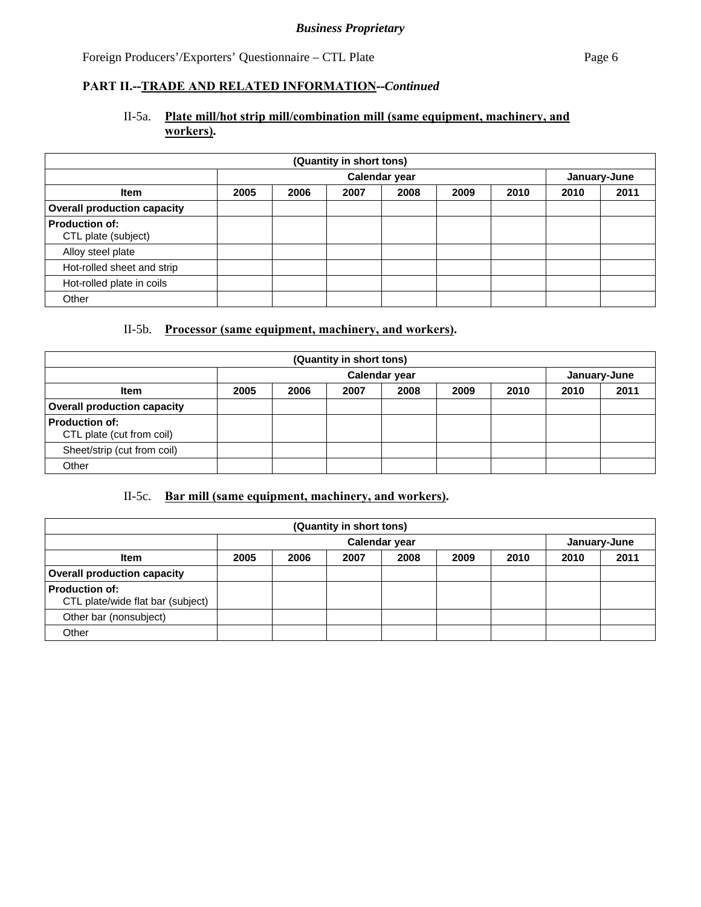## II-5a. **Plate mill/hot strip mill/combination mill (same equipment, machinery, and workers).**

| (Quantity in short tons)                     |      |      |      |               |      |      |      |              |
|----------------------------------------------|------|------|------|---------------|------|------|------|--------------|
|                                              |      |      |      | Calendar year |      |      |      | January-June |
| <b>Item</b>                                  | 2005 | 2006 | 2007 | 2008          | 2009 | 2010 | 2010 | 2011         |
| <b>Overall production capacity</b>           |      |      |      |               |      |      |      |              |
| <b>Production of:</b><br>CTL plate (subject) |      |      |      |               |      |      |      |              |
| Alloy steel plate                            |      |      |      |               |      |      |      |              |
| Hot-rolled sheet and strip                   |      |      |      |               |      |      |      |              |
| Hot-rolled plate in coils                    |      |      |      |               |      |      |      |              |
| Other                                        |      |      |      |               |      |      |      |              |

## II-5b. **Processor (same equipment, machinery, and workers).**

| (Quantity in short tons)                    |      |      |      |               |      |      |      |              |
|---------------------------------------------|------|------|------|---------------|------|------|------|--------------|
|                                             |      |      |      | Calendar year |      |      |      | January-June |
| <b>Item</b>                                 | 2005 | 2006 | 2007 | 2008          | 2009 | 2010 | 2010 | 2011         |
| <b>Overall production capacity</b>          |      |      |      |               |      |      |      |              |
| Production of:<br>CTL plate (cut from coil) |      |      |      |               |      |      |      |              |
| Sheet/strip (cut from coil)                 |      |      |      |               |      |      |      |              |
| Other                                       |      |      |      |               |      |      |      |              |

## II-5c. **Bar mill (same equipment, machinery, and workers).**

| (Quantity in short tons)                                   |      |               |      |      |      |      |      |              |
|------------------------------------------------------------|------|---------------|------|------|------|------|------|--------------|
|                                                            |      | Calendar year |      |      |      |      |      | January-June |
| <b>Item</b>                                                | 2005 | 2006          | 2007 | 2008 | 2009 | 2010 | 2010 | 2011         |
| <b>Overall production capacity</b>                         |      |               |      |      |      |      |      |              |
| <b>Production of:</b><br>CTL plate/wide flat bar (subject) |      |               |      |      |      |      |      |              |
| Other bar (nonsubject)                                     |      |               |      |      |      |      |      |              |
| Other                                                      |      |               |      |      |      |      |      |              |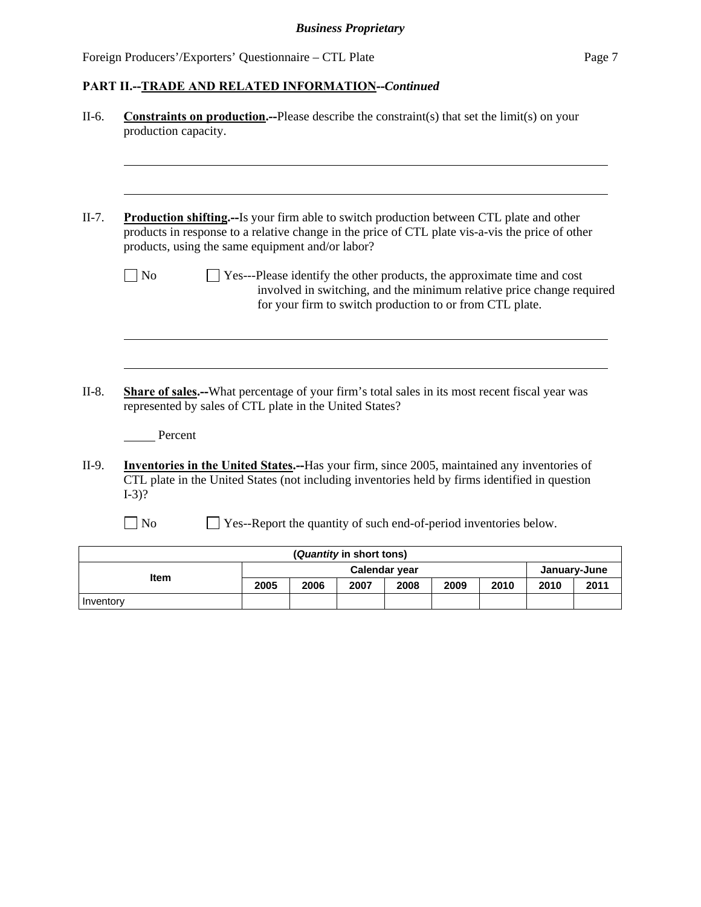Inventory

## **PART II.--TRADE AND RELATED INFORMATION--***Continued*

| II-6.   | <b>Constraints on production.--Please describe the constraints in the limit (s) on your</b><br>production capacity.                                                                                                                                     |                                                                         |                                                                                                                                   |                          |               |  |              |  |
|---------|---------------------------------------------------------------------------------------------------------------------------------------------------------------------------------------------------------------------------------------------------------|-------------------------------------------------------------------------|-----------------------------------------------------------------------------------------------------------------------------------|--------------------------|---------------|--|--------------|--|
| $II-7.$ | <b>Production shifting.--Is your firm able to switch production between CTL plate and other</b><br>products in response to a relative change in the price of CTL plate vis-a-vis the price of other<br>products, using the same equipment and/or labor? |                                                                         |                                                                                                                                   |                          |               |  |              |  |
|         | $\sqrt{\phantom{a}}$ No                                                                                                                                                                                                                                 | Yes---Please identify the other products, the approximate time and cost | involved in switching, and the minimum relative price change required<br>for your firm to switch production to or from CTL plate. |                          |               |  |              |  |
| $II-8.$ | Share of sales.--What percentage of your firm's total sales in its most recent fiscal year was<br>represented by sales of CTL plate in the United States?<br>Percent                                                                                    |                                                                         |                                                                                                                                   |                          |               |  |              |  |
| II-9.   | <b>Inventories in the United States.--Has your firm, since 2005, maintained any inventories of</b><br>CTL plate in the United States (not including inventories held by firms identified in question<br>$I-3$ ?<br>$\exists$ No                         | Yes--Report the quantity of such end-of-period inventories below.       |                                                                                                                                   |                          |               |  |              |  |
|         |                                                                                                                                                                                                                                                         |                                                                         |                                                                                                                                   | (Quantity in short tons) |               |  |              |  |
|         | Item                                                                                                                                                                                                                                                    |                                                                         |                                                                                                                                   |                          | Calendar year |  | January-June |  |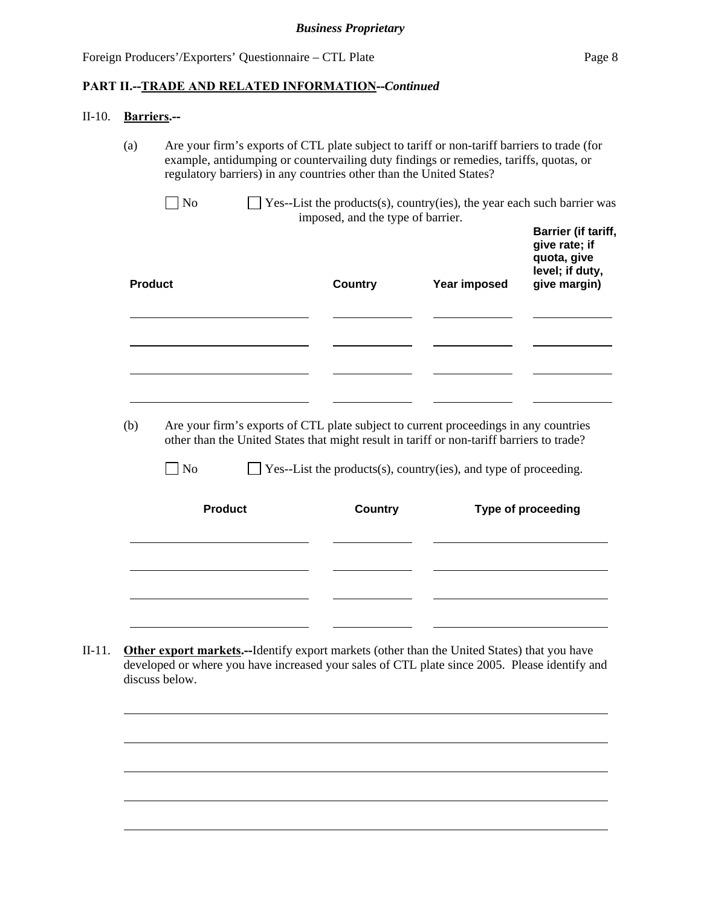#### II-10. **Barriers.--**

(a) Are your firm's exports of CTL plate subject to tariff or non-tariff barriers to trade (for example, antidumping or countervailing duty findings or remedies, tariffs, quotas, or regulatory barriers) in any countries other than the United States?

| $\Box$ No | $\Box$ Yes--List the products(s), country(ies), the year each such barrier was |
|-----------|--------------------------------------------------------------------------------|
|           | imposed, and the type of barrier.                                              |
|           | Denisa Brienler                                                                |

| <b>Product</b> | <b>Country</b> | Year imposed | Darrier (II tariii,<br>give rate; if<br>quota, give<br>level; if duty,<br>give margin) |
|----------------|----------------|--------------|----------------------------------------------------------------------------------------|
|                |                |              |                                                                                        |
|                |                |              |                                                                                        |
|                |                |              |                                                                                        |
|                |                |              |                                                                                        |
|                |                |              |                                                                                        |
|                |                |              |                                                                                        |

(b) Are your firm's exports of CTL plate subject to current proceedings in any countries other than the United States that might result in tariff or non-tariff barriers to trade?

 $\Box$  No  $\Box$  Yes--List the products(s), country(ies), and type of proceeding.

| <b>Product</b> | <b>Country</b> | Type of proceeding |
|----------------|----------------|--------------------|
|                |                |                    |
|                |                |                    |
|                |                |                    |
|                |                |                    |

II-11. **Other export markets.--**Identify export markets (other than the United States) that you have developed or where you have increased your sales of CTL plate since 2005. Please identify and discuss below.

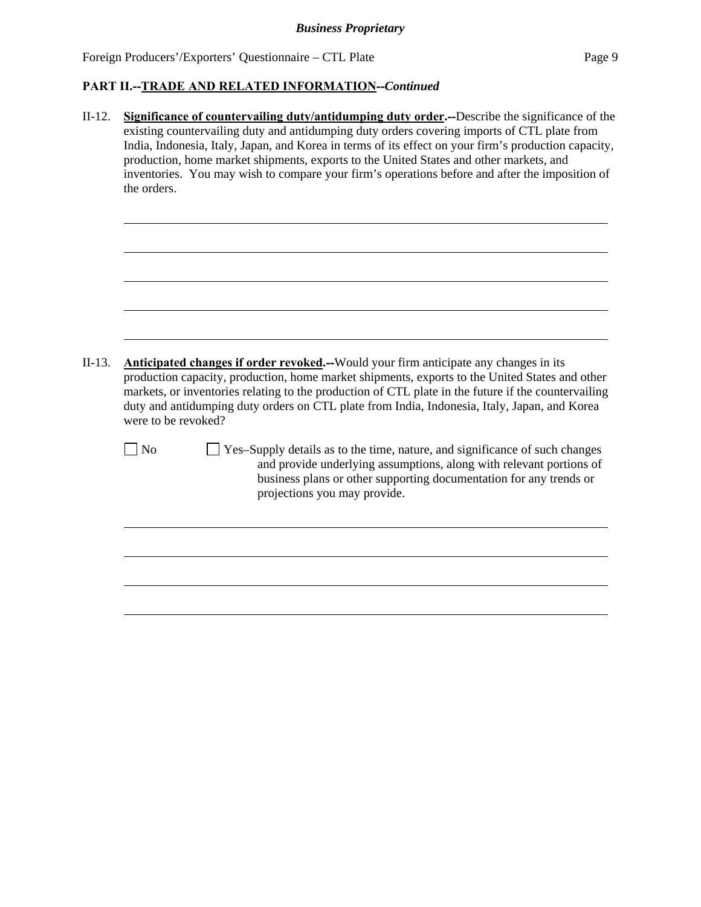II-12. **Significance of countervailing duty/antidumping duty order.--**Describe the significance of the existing countervailing duty and antidumping duty orders covering imports of CTL plate from India, Indonesia, Italy, Japan, and Korea in terms of its effect on your firm's production capacity, production, home market shipments, exports to the United States and other markets, and inventories. You may wish to compare your firm's operations before and after the imposition of the orders.

```
II-13. Anticipated changes if order revoked.--Would your firm anticipate any changes in its 
production capacity, production, home market shipments, exports to the United States and other 
markets, or inventories relating to the production of CTL plate in the future if the countervailing 
duty and antidumping duty orders on CTL plate from India, Indonesia, Italy, Japan, and Korea 
were to be revoked?
```
l

l

 $\Box$  No  $\Box$  Yes–Supply details as to the time, nature, and significance of such changes and provide underlying assumptions, along with relevant portions of business plans or other supporting documentation for any trends or projections you may provide.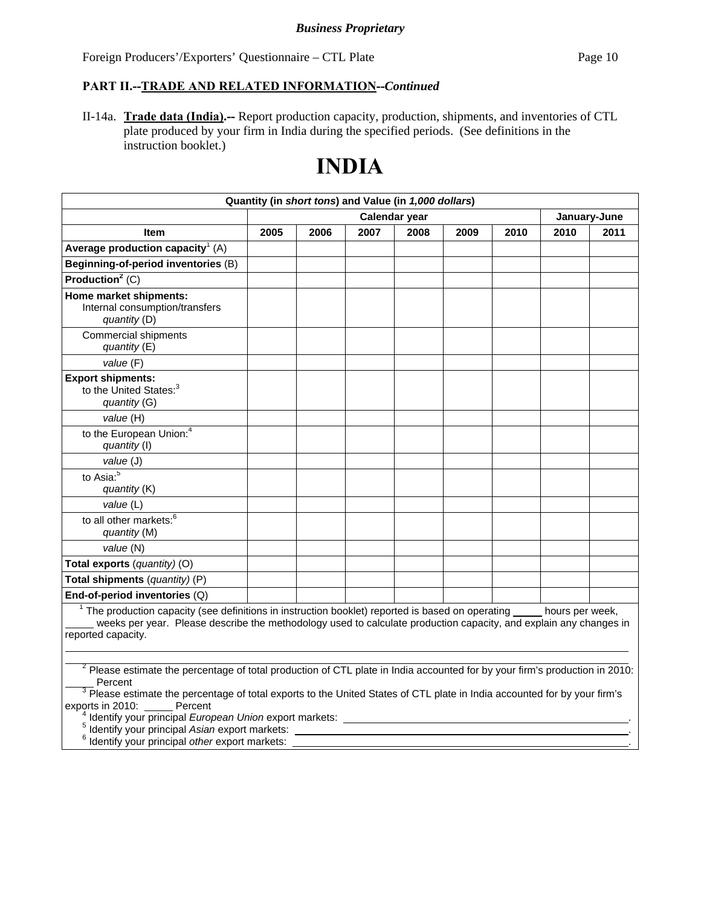#### **PART II.--TRADE AND RELATED INFORMATION--***Continued*

II-14a. **Trade data (India).--** Report production capacity, production, shipments, and inventories of CTL plate produced by your firm in India during the specified periods. (See definitions in the instruction booklet.)

# **INDIA**

| Quantity (in short tons) and Value (in 1,000 dollars)                                                                                                                                                                                                                   |      |      |      |               |      |      |      |              |
|-------------------------------------------------------------------------------------------------------------------------------------------------------------------------------------------------------------------------------------------------------------------------|------|------|------|---------------|------|------|------|--------------|
|                                                                                                                                                                                                                                                                         |      |      |      | Calendar year |      |      |      | January-June |
| <b>Item</b>                                                                                                                                                                                                                                                             | 2005 | 2006 | 2007 | 2008          | 2009 | 2010 | 2010 | 2011         |
| Average production capacity <sup>1</sup> (A)                                                                                                                                                                                                                            |      |      |      |               |      |      |      |              |
| Beginning-of-period inventories (B)                                                                                                                                                                                                                                     |      |      |      |               |      |      |      |              |
| Production <sup>2</sup> $\overline{(C)}$                                                                                                                                                                                                                                |      |      |      |               |      |      |      |              |
| Home market shipments:<br>Internal consumption/transfers<br>quantity (D)                                                                                                                                                                                                |      |      |      |               |      |      |      |              |
| Commercial shipments<br>quantity (E)                                                                                                                                                                                                                                    |      |      |      |               |      |      |      |              |
| value (F)                                                                                                                                                                                                                                                               |      |      |      |               |      |      |      |              |
| <b>Export shipments:</b><br>to the United States: <sup>3</sup><br>quantity (G)                                                                                                                                                                                          |      |      |      |               |      |      |      |              |
| value (H)                                                                                                                                                                                                                                                               |      |      |      |               |      |      |      |              |
| to the European Union: <sup>4</sup><br>quantity (I)                                                                                                                                                                                                                     |      |      |      |               |      |      |      |              |
| value (J)                                                                                                                                                                                                                                                               |      |      |      |               |      |      |      |              |
| to Asia: <sup>5</sup><br>quantity (K)                                                                                                                                                                                                                                   |      |      |      |               |      |      |      |              |
| value (L)                                                                                                                                                                                                                                                               |      |      |      |               |      |      |      |              |
| to all other markets: <sup>6</sup><br>quantity (M)                                                                                                                                                                                                                      |      |      |      |               |      |      |      |              |
| value (N)                                                                                                                                                                                                                                                               |      |      |      |               |      |      |      |              |
| Total exports (quantity) (O)                                                                                                                                                                                                                                            |      |      |      |               |      |      |      |              |
| Total shipments (quantity) (P)                                                                                                                                                                                                                                          |      |      |      |               |      |      |      |              |
| End-of-period inventories (Q)                                                                                                                                                                                                                                           |      |      |      |               |      |      |      |              |
| $1$ The production capacity (see definitions in instruction booklet) reported is based on operating $\qquad$ hours per week,<br>weeks per year. Please describe the methodology used to calculate production capacity, and explain any changes in<br>reported capacity. |      |      |      |               |      |      |      |              |
| $^2$ Dlagge estimate the nersentage of total production of CTL plate in India associated for by your firm's production in 2010                                                                                                                                          |      |      |      |               |      |      |      |              |

 Please estimate the percentage of total production of CTL plate in India accounted for by your firm's production in 2010: Percent<br><sup>3</sup> Please estimate the percentage of total exports to the United States of CTL plate in India accounted for by your firm's

exports in 2010: Percent

<sup>4</sup> Identify your principal *European Union* export markets:

Identify your principal *Asian* export markets: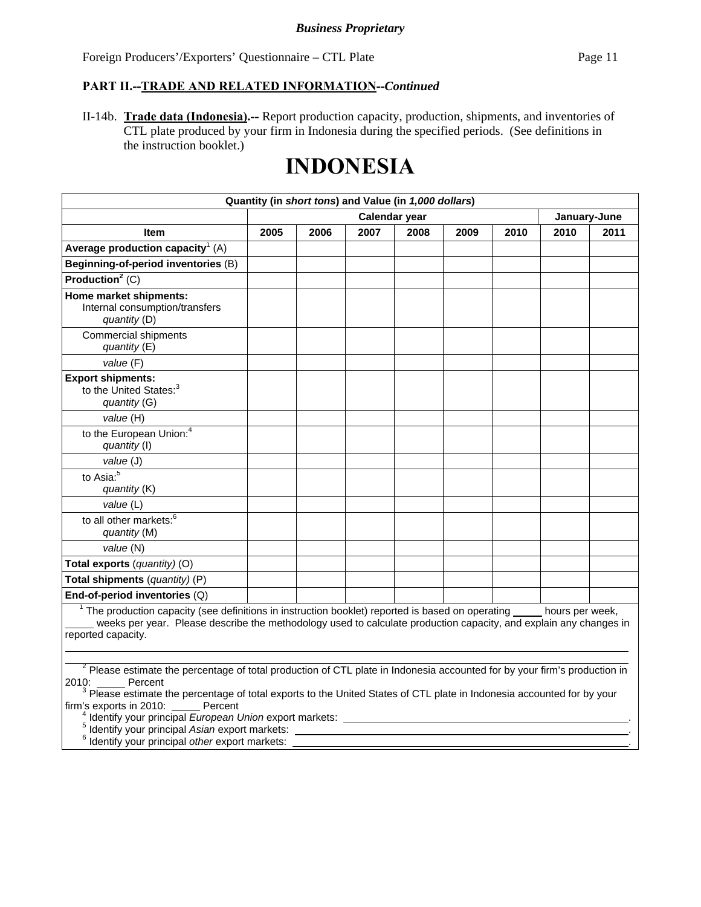II-14b. **Trade data (Indonesia).--** Report production capacity, production, shipments, and inventories of CTL plate produced by your firm in Indonesia during the specified periods. (See definitions in the instruction booklet.)

# **INDONESIA**

| Quantity (in short tons) and Value (in 1,000 dollars)                                                                                                                                                                                                                 |      |      |               |      |      |      |              |      |
|-----------------------------------------------------------------------------------------------------------------------------------------------------------------------------------------------------------------------------------------------------------------------|------|------|---------------|------|------|------|--------------|------|
|                                                                                                                                                                                                                                                                       |      |      | Calendar year |      |      |      | January-June |      |
| <b>Item</b>                                                                                                                                                                                                                                                           | 2005 | 2006 | 2007          | 2008 | 2009 | 2010 | 2010         | 2011 |
| Average production capacity <sup>1</sup> (A)                                                                                                                                                                                                                          |      |      |               |      |      |      |              |      |
| Beginning-of-period inventories (B)                                                                                                                                                                                                                                   |      |      |               |      |      |      |              |      |
| Production <sup>2</sup> (C)                                                                                                                                                                                                                                           |      |      |               |      |      |      |              |      |
| Home market shipments:<br>Internal consumption/transfers<br>quantity (D)                                                                                                                                                                                              |      |      |               |      |      |      |              |      |
| <b>Commercial shipments</b><br>quantity (E)                                                                                                                                                                                                                           |      |      |               |      |      |      |              |      |
| value (F)                                                                                                                                                                                                                                                             |      |      |               |      |      |      |              |      |
| <b>Export shipments:</b><br>to the United States: <sup>3</sup><br>quantity (G)                                                                                                                                                                                        |      |      |               |      |      |      |              |      |
| value (H)                                                                                                                                                                                                                                                             |      |      |               |      |      |      |              |      |
| to the European Union: <sup>4</sup><br>quantity (I)                                                                                                                                                                                                                   |      |      |               |      |      |      |              |      |
| value (J)                                                                                                                                                                                                                                                             |      |      |               |      |      |      |              |      |
| to Asia: $\overline{5}$<br>quantity (K)                                                                                                                                                                                                                               |      |      |               |      |      |      |              |      |
| value (L)                                                                                                                                                                                                                                                             |      |      |               |      |      |      |              |      |
| to all other markets: <sup>6</sup><br>quantity (M)                                                                                                                                                                                                                    |      |      |               |      |      |      |              |      |
| value (N)                                                                                                                                                                                                                                                             |      |      |               |      |      |      |              |      |
| Total exports (quantity) (O)                                                                                                                                                                                                                                          |      |      |               |      |      |      |              |      |
| Total shipments (quantity) (P)                                                                                                                                                                                                                                        |      |      |               |      |      |      |              |      |
| End-of-period inventories (Q)                                                                                                                                                                                                                                         |      |      |               |      |      |      |              |      |
| $1$ The production capacity (see definitions in instruction booklet) reported is based on operating $\_\_$ hours per week,<br>weeks per year. Please describe the methodology used to calculate production capacity, and explain any changes in<br>reported capacity. |      |      |               |      |      |      |              |      |
| <sup>2</sup> Please estimate the percentage of total production of CTL plate in Indonesia accounted for by your firm's production in<br>$2010 -$<br>Percent                                                                                                           |      |      |               |      |      |      |              |      |

2010: \_\_\_\_\_\_ Percent<br><sup>3</sup> Please estimate the percentage of total exports to the United States of CTL plate in Indonesia accounted for by your firm's exports in 2010: Percent

Identify your principal *European Union* export markets: . 5

Identify your principal *Asian* export markets: . 6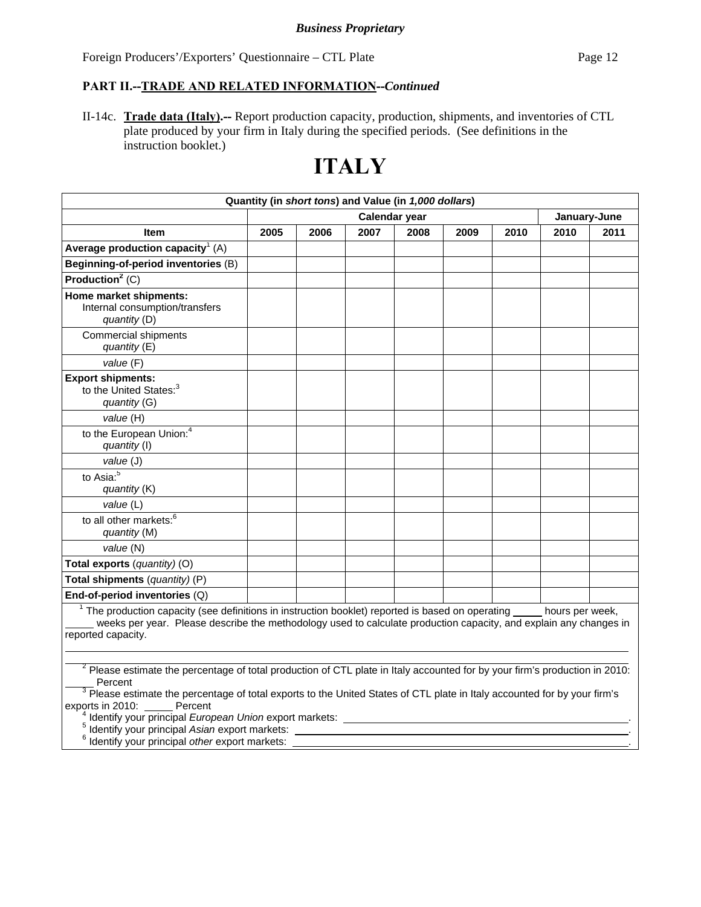#### **PART II.--TRADE AND RELATED INFORMATION--***Continued*

II-14c. **Trade data (Italy).--** Report production capacity, production, shipments, and inventories of CTL plate produced by your firm in Italy during the specified periods. (See definitions in the instruction booklet.)

# **ITALY**

| Quantity (in short tons) and Value (in 1,000 dollars)                                                                                                                                                                                                                   |      |      |               |      |      |      |              |      |
|-------------------------------------------------------------------------------------------------------------------------------------------------------------------------------------------------------------------------------------------------------------------------|------|------|---------------|------|------|------|--------------|------|
|                                                                                                                                                                                                                                                                         |      |      | Calendar year |      |      |      | January-June |      |
| Item                                                                                                                                                                                                                                                                    | 2005 | 2006 | 2007          | 2008 | 2009 | 2010 | 2010         | 2011 |
| Average production capacity <sup>1</sup> (A)                                                                                                                                                                                                                            |      |      |               |      |      |      |              |      |
| Beginning-of-period inventories (B)                                                                                                                                                                                                                                     |      |      |               |      |      |      |              |      |
| Production <sup>2</sup> (C)                                                                                                                                                                                                                                             |      |      |               |      |      |      |              |      |
| Home market shipments:<br>Internal consumption/transfers<br>quantity (D)                                                                                                                                                                                                |      |      |               |      |      |      |              |      |
| Commercial shipments<br>quantity $(E)$                                                                                                                                                                                                                                  |      |      |               |      |      |      |              |      |
| value (F)                                                                                                                                                                                                                                                               |      |      |               |      |      |      |              |      |
| <b>Export shipments:</b><br>to the United States: <sup>3</sup><br>quantity (G)                                                                                                                                                                                          |      |      |               |      |      |      |              |      |
| value (H)                                                                                                                                                                                                                                                               |      |      |               |      |      |      |              |      |
| to the European Union: <sup>4</sup><br>quantity (I)                                                                                                                                                                                                                     |      |      |               |      |      |      |              |      |
| value (J)                                                                                                                                                                                                                                                               |      |      |               |      |      |      |              |      |
| to Asia: $\overline{5}$<br>quantity (K)                                                                                                                                                                                                                                 |      |      |               |      |      |      |              |      |
| value (L)                                                                                                                                                                                                                                                               |      |      |               |      |      |      |              |      |
| to all other markets: <sup>6</sup><br>quantity (M)                                                                                                                                                                                                                      |      |      |               |      |      |      |              |      |
| value (N)                                                                                                                                                                                                                                                               |      |      |               |      |      |      |              |      |
| Total exports (quantity) (O)                                                                                                                                                                                                                                            |      |      |               |      |      |      |              |      |
| Total shipments (quantity) (P)                                                                                                                                                                                                                                          |      |      |               |      |      |      |              |      |
| End-of-period inventories (Q)                                                                                                                                                                                                                                           |      |      |               |      |      |      |              |      |
| <sup>1</sup> The production capacity (see definitions in instruction booklet) reported is based on operating hours per week,<br>weeks per year. Please describe the methodology used to calculate production capacity, and explain any changes in<br>reported capacity. |      |      |               |      |      |      |              |      |

 $2$  Please estimate the percentage of total production of CTL plate in Italy accounted for by your firm's production in 2010: Percent<br><sup>3</sup> Please estimate the percentage of total exports to the United States of CTL plate in Italy accounted for by your firm's

exports in 2010: Percent

<sup>4</sup> Identify your principal *European Union* export markets:

Identify your principal *Asian* export markets: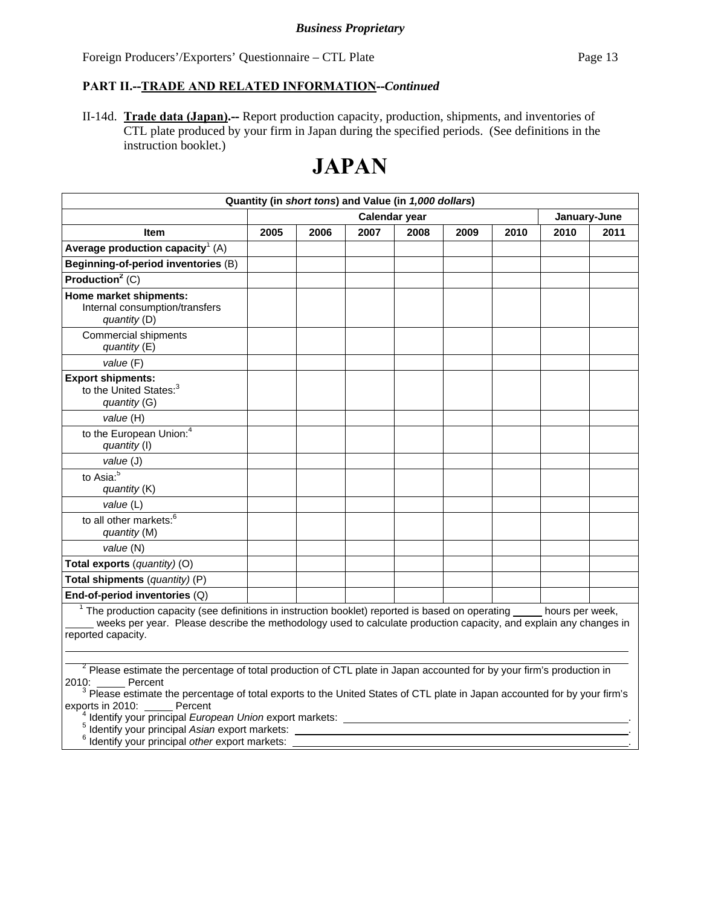#### **PART II.--TRADE AND RELATED INFORMATION--***Continued*

II-14d. **Trade data (Japan).--** Report production capacity, production, shipments, and inventories of CTL plate produced by your firm in Japan during the specified periods. (See definitions in the instruction booklet.)

# **JAPAN**

|                                                                                                                                                                                                                                                                           |      |      | Quantity (in short tons) and Value (in 1,000 dollars) |      |      |      |              |      |
|---------------------------------------------------------------------------------------------------------------------------------------------------------------------------------------------------------------------------------------------------------------------------|------|------|-------------------------------------------------------|------|------|------|--------------|------|
|                                                                                                                                                                                                                                                                           |      |      | Calendar year                                         |      |      |      | January-June |      |
| <b>Item</b>                                                                                                                                                                                                                                                               | 2005 | 2006 | 2007                                                  | 2008 | 2009 | 2010 | 2010         | 2011 |
| Average production capacity <sup>1</sup> (A)                                                                                                                                                                                                                              |      |      |                                                       |      |      |      |              |      |
| Beginning-of-period inventories (B)                                                                                                                                                                                                                                       |      |      |                                                       |      |      |      |              |      |
| Production <sup>2</sup> (C)                                                                                                                                                                                                                                               |      |      |                                                       |      |      |      |              |      |
| Home market shipments:<br>Internal consumption/transfers<br>quantity (D)                                                                                                                                                                                                  |      |      |                                                       |      |      |      |              |      |
| <b>Commercial shipments</b><br>quantity (E)                                                                                                                                                                                                                               |      |      |                                                       |      |      |      |              |      |
| value (F)                                                                                                                                                                                                                                                                 |      |      |                                                       |      |      |      |              |      |
| <b>Export shipments:</b><br>to the United States: <sup>3</sup><br>quantity (G)                                                                                                                                                                                            |      |      |                                                       |      |      |      |              |      |
| value (H)                                                                                                                                                                                                                                                                 |      |      |                                                       |      |      |      |              |      |
| to the European Union: <sup>4</sup><br>quantity (I)                                                                                                                                                                                                                       |      |      |                                                       |      |      |      |              |      |
| value (J)                                                                                                                                                                                                                                                                 |      |      |                                                       |      |      |      |              |      |
| to Asia: <sup>5</sup><br>quantity (K)                                                                                                                                                                                                                                     |      |      |                                                       |      |      |      |              |      |
| value (L)                                                                                                                                                                                                                                                                 |      |      |                                                       |      |      |      |              |      |
| to all other markets: <sup>6</sup><br>quantity (M)                                                                                                                                                                                                                        |      |      |                                                       |      |      |      |              |      |
| value (N)                                                                                                                                                                                                                                                                 |      |      |                                                       |      |      |      |              |      |
| Total exports (quantity) (O)                                                                                                                                                                                                                                              |      |      |                                                       |      |      |      |              |      |
| Total shipments (quantity) (P)                                                                                                                                                                                                                                            |      |      |                                                       |      |      |      |              |      |
| End-of-period inventories (Q)                                                                                                                                                                                                                                             |      |      |                                                       |      |      |      |              |      |
| $1$ The production capacity (see definitions in instruction booklet) reported is based on operating $\_\_\_\_$ hours per week,<br>weeks per year. Please describe the methodology used to calculate production capacity, and explain any changes in<br>reported capacity. |      |      |                                                       |      |      |      |              |      |

<sup>2</sup> Please estimate the percentage of total production of CTL plate in Japan accounted for by your firm's production in

2010: \_\_\_\_\_\_ Percent<br><sup>3</sup> Please estimate the percentage of total exports to the United States of CTL plate in Japan accounted for by your firm's exports in 2010: Percent

<sup>4</sup> Identify your principal *European Union* export markets:

Identify your principal *Asian* export markets:

 $\overline{a}$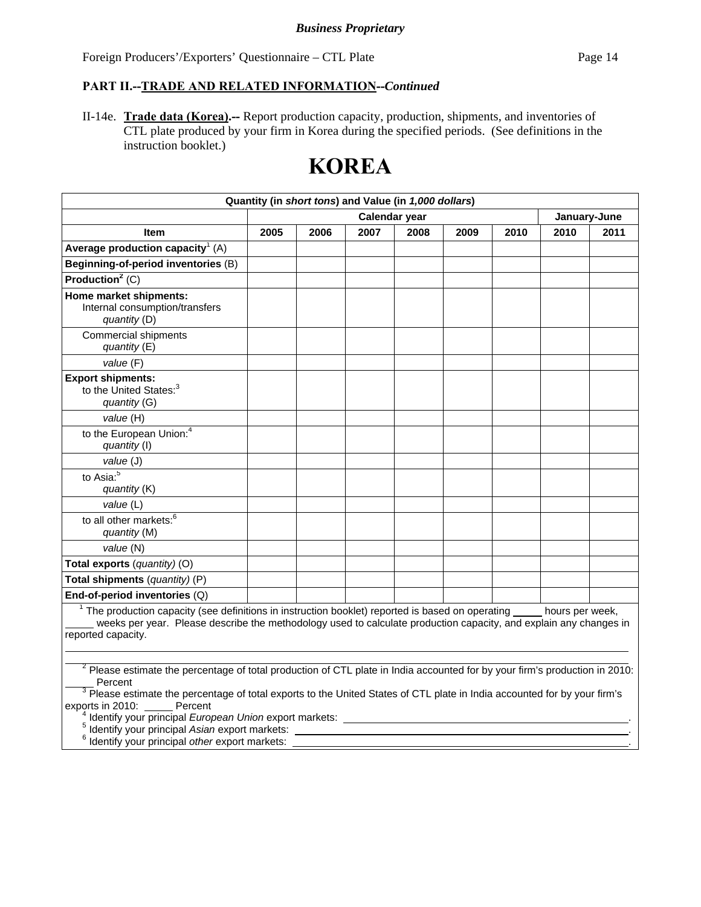#### **PART II.--TRADE AND RELATED INFORMATION--***Continued*

II-14e. **Trade data (Korea).--** Report production capacity, production, shipments, and inventories of CTL plate produced by your firm in Korea during the specified periods. (See definitions in the instruction booklet.)

# **KOREA**

| Quantity (in short tons) and Value (in 1,000 dollars)                                                                                                                                                                                                                     |      |      |               |      |      |      |              |      |
|---------------------------------------------------------------------------------------------------------------------------------------------------------------------------------------------------------------------------------------------------------------------------|------|------|---------------|------|------|------|--------------|------|
|                                                                                                                                                                                                                                                                           |      |      | Calendar year |      |      |      | January-June |      |
| <b>Item</b>                                                                                                                                                                                                                                                               | 2005 | 2006 | 2007          | 2008 | 2009 | 2010 | 2010         | 2011 |
| Average production capacity <sup>1</sup> (A)                                                                                                                                                                                                                              |      |      |               |      |      |      |              |      |
| Beginning-of-period inventories (B)                                                                                                                                                                                                                                       |      |      |               |      |      |      |              |      |
| Production <sup>2</sup> (C)                                                                                                                                                                                                                                               |      |      |               |      |      |      |              |      |
| Home market shipments:<br>Internal consumption/transfers<br>quantity (D)                                                                                                                                                                                                  |      |      |               |      |      |      |              |      |
| <b>Commercial shipments</b><br>quantity (E)                                                                                                                                                                                                                               |      |      |               |      |      |      |              |      |
| value (F)                                                                                                                                                                                                                                                                 |      |      |               |      |      |      |              |      |
| <b>Export shipments:</b><br>to the United States: <sup>3</sup><br>quantity (G)                                                                                                                                                                                            |      |      |               |      |      |      |              |      |
| value (H)                                                                                                                                                                                                                                                                 |      |      |               |      |      |      |              |      |
| to the European Union: <sup>4</sup><br>quantity (I)                                                                                                                                                                                                                       |      |      |               |      |      |      |              |      |
| value (J)                                                                                                                                                                                                                                                                 |      |      |               |      |      |      |              |      |
| to Asia: <sup>5</sup><br>quantity (K)                                                                                                                                                                                                                                     |      |      |               |      |      |      |              |      |
| value (L)                                                                                                                                                                                                                                                                 |      |      |               |      |      |      |              |      |
| to all other markets: <sup>6</sup><br>quantity (M)                                                                                                                                                                                                                        |      |      |               |      |      |      |              |      |
| value (N)                                                                                                                                                                                                                                                                 |      |      |               |      |      |      |              |      |
| Total exports (quantity) (O)                                                                                                                                                                                                                                              |      |      |               |      |      |      |              |      |
| Total shipments (quantity) (P)                                                                                                                                                                                                                                            |      |      |               |      |      |      |              |      |
| End-of-period inventories (Q)                                                                                                                                                                                                                                             |      |      |               |      |      |      |              |      |
| $1$ The production capacity (see definitions in instruction booklet) reported is based on operating $\_\_\_\_$ hours per week,<br>weeks per year. Please describe the methodology used to calculate production capacity, and explain any changes in<br>reported capacity. |      |      |               |      |      |      |              |      |

<sup>2</sup> Please estimate the percentage of total production of CTL plate in India accounted for by your firm's production in 2010: Percent<br><sup>3</sup> Please estimate the percentage of total exports to the United States of CTL plate in India accounted for by your firm's

exports in 2010: Percent

<sup>4</sup> Identify your principal *European Union* export markets:

Identify your principal *Asian* export markets: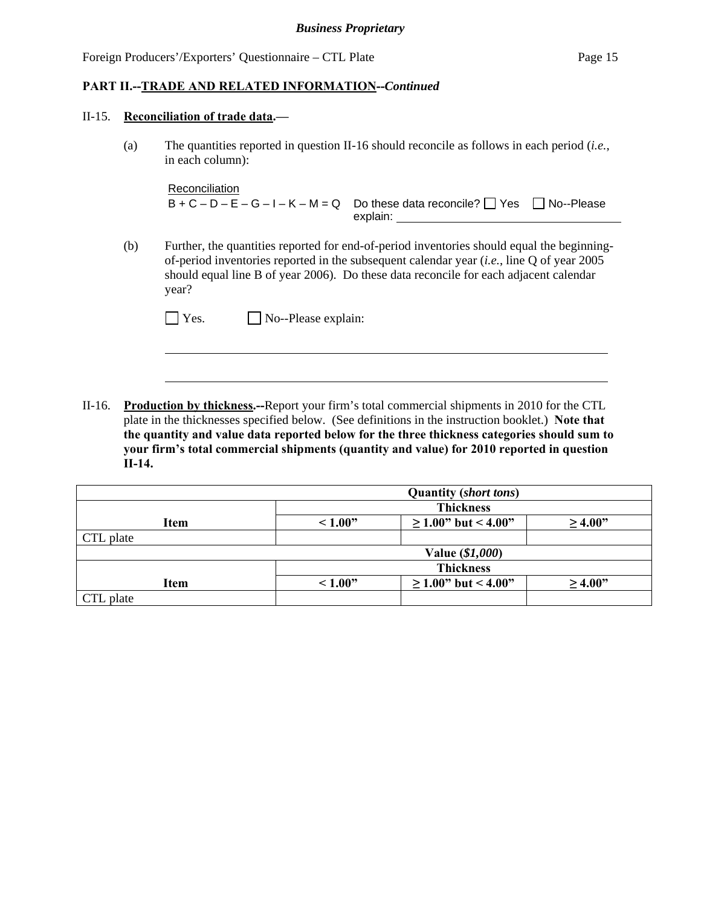#### II-15. **Reconciliation of trade data.—**

 $\overline{a}$ 

(a) The quantities reported in question II-16 should reconcile as follows in each period (*i.e.*, in each column):

**Reconciliation**  $B + C - D - E - G - I - K - M = Q$  Do these data reconcile?  $\Box$  Yes  $\Box$  No--Please explain:

(b) Further, the quantities reported for end-of-period inventories should equal the beginningof-period inventories reported in the subsequent calendar year (*i.e.*, line Q of year 2005 should equal line B of year 2006). Do these data reconcile for each adjacent calendar year?

| $\Box$ Yes. | $\Box$ No--Please explain: |
|-------------|----------------------------|
|-------------|----------------------------|

II-16. **Production by thickness.--**Report your firm's total commercial shipments in 2010 for the CTL plate in the thicknesses specified below. (See definitions in the instruction booklet.) **Note that the quantity and value data reported below for the three thickness categories should sum to your firm's total commercial shipments (quantity and value) for 2010 reported in question II-14.**

|           |                  | <b>Quantity (short tons)</b> |              |  |
|-----------|------------------|------------------------------|--------------|--|
|           | <b>Thickness</b> |                              |              |  |
| Item      | ~1.00"           | $\geq$ 1.00" but < 4.00"     | $\geq 4.00"$ |  |
| CTL plate |                  |                              |              |  |
|           |                  | Value (\$1,000)              |              |  |
|           | <b>Thickness</b> |                              |              |  |
| Item      | ~1.00"           | $\geq$ 1.00" but < 4.00"     | $\geq 4.00"$ |  |
| CTL plate |                  |                              |              |  |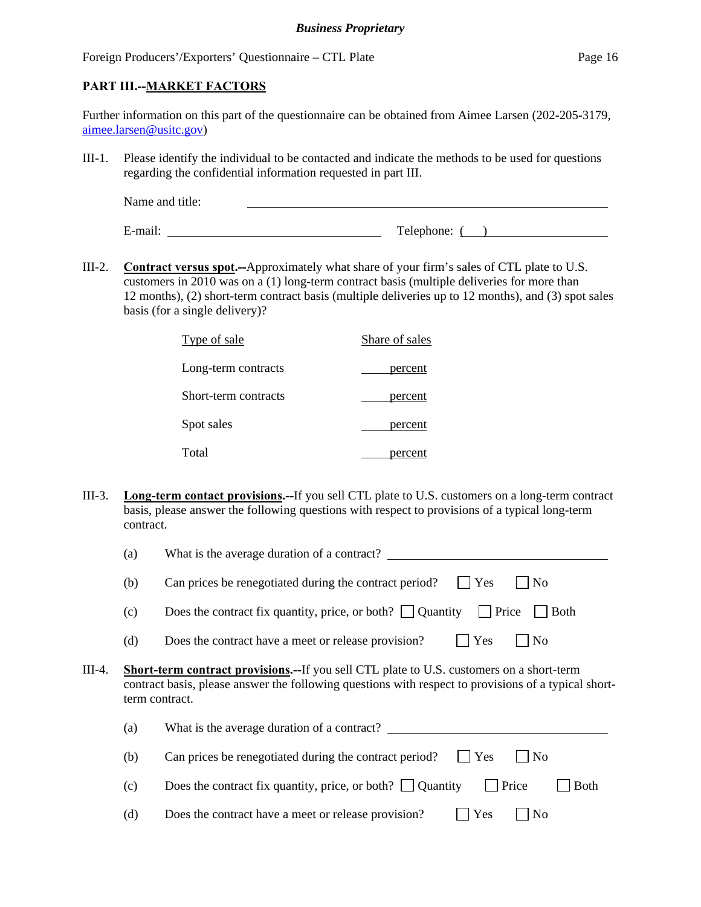#### **PART III.--MARKET FACTORS**

| Further information on this part of the questionnaire can be obtained from Aimee Larsen (202-205-3179, |  |
|--------------------------------------------------------------------------------------------------------|--|
| $a$ imee.larsen@usitc.gov)                                                                             |  |

III-1. Please identify the individual to be contacted and indicate the methods to be used for questions regarding the confidential information requested in part III.

| Name and title: |            |
|-----------------|------------|
|                 |            |
| E-mail:         | Telephone: |

III-2. **Contract versus spot.--**Approximately what share of your firm's sales of CTL plate to U.S. customers in 2010 was on a (1) long-term contract basis (multiple deliveries for more than 12 months), (2) short-term contract basis (multiple deliveries up to 12 months), and (3) spot sales basis (for a single delivery)?

| Type of sale         | Share of sales |
|----------------------|----------------|
| Long-term contracts  | percent        |
| Short-term contracts | percent        |
| Spot sales           | percent        |
| Total                | percent        |

III-3. **Long-term contact provisions.--**If you sell CTL plate to U.S. customers on a long-term contract basis, please answer the following questions with respect to provisions of a typical long-term contract.

|        | (a)                                                                                                                                                                                                                       | What is the average duration of a contract?                                                    |  |  |  |  |
|--------|---------------------------------------------------------------------------------------------------------------------------------------------------------------------------------------------------------------------------|------------------------------------------------------------------------------------------------|--|--|--|--|
|        | (b)                                                                                                                                                                                                                       | Can prices be renegotiated during the contract period?<br>Yes<br>N <sub>0</sub>                |  |  |  |  |
|        | (c)                                                                                                                                                                                                                       | Does the contract fix quantity, price, or both? $\Box$ Quantity<br>$\Box$ Price<br><b>Both</b> |  |  |  |  |
|        | (d)                                                                                                                                                                                                                       | Does the contract have a meet or release provision?<br>Yes<br>N <sub>0</sub>                   |  |  |  |  |
| III-4. | <b>Short-term contract provisions.--If you sell CTL plate to U.S. customers on a short-term</b><br>contract basis, please answer the following questions with respect to provisions of a typical short-<br>term contract. |                                                                                                |  |  |  |  |
|        | (a)                                                                                                                                                                                                                       | What is the average duration of a contract?                                                    |  |  |  |  |
|        | (b)                                                                                                                                                                                                                       | Can prices be renegotiated during the contract period?<br><b>Yes</b><br>N <sub>0</sub>         |  |  |  |  |
|        | (c)                                                                                                                                                                                                                       | Does the contract fix quantity, price, or both? $\Box$ Quantity<br>Price<br><b>Both</b>        |  |  |  |  |
|        | (d)                                                                                                                                                                                                                       | Yes<br>N <sub>o</sub><br>Does the contract have a meet or release provision?                   |  |  |  |  |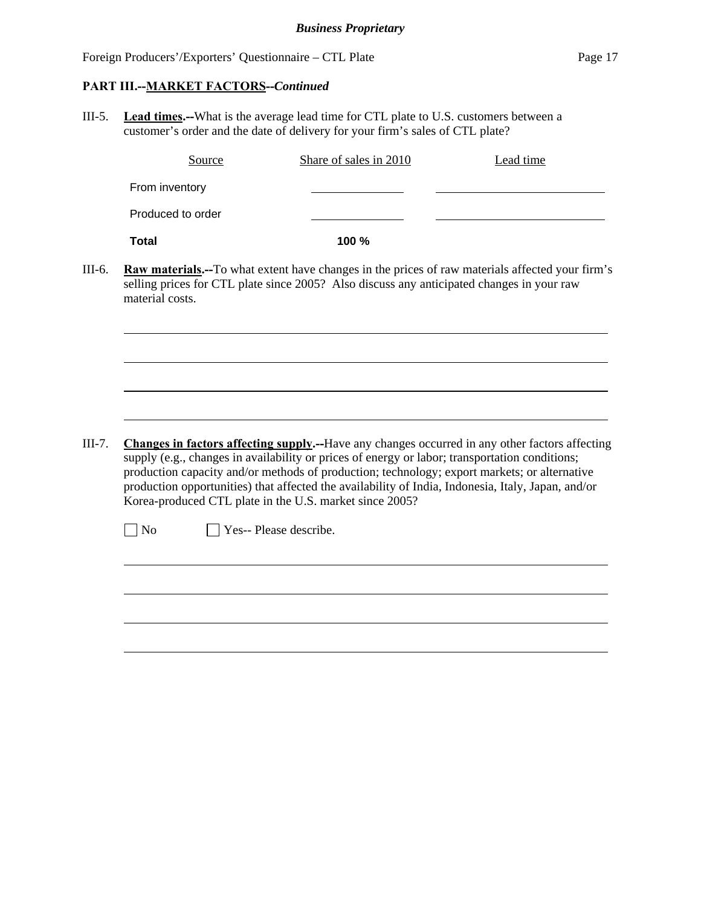#### **PART III.--MARKET FACTORS--***Continued*

l

 $\overline{a}$ 

III-5. **Lead times.--**What is the average lead time for CTL plate to U.S. customers between a customer's order and the date of delivery for your firm's sales of CTL plate?

| Source            | Share of sales in 2010 | Lead time |
|-------------------|------------------------|-----------|
| From inventory    |                        |           |
| Produced to order |                        |           |
| <b>Total</b>      | 100 %                  |           |

III-6. **Raw materials.--**To what extent have changes in the prices of raw materials affected your firm's selling prices for CTL plate since 2005? Also discuss any anticipated changes in your raw material costs.

III-7. **Changes in factors affecting supply.--**Have any changes occurred in any other factors affecting supply (e.g., changes in availability or prices of energy or labor; transportation conditions; production capacity and/or methods of production; technology; export markets; or alternative production opportunities) that affected the availability of India, Indonesia, Italy, Japan, and/or Korea-produced CTL plate in the U.S. market since 2005?

<u> 1989 - Johann Stoff, deutscher Stoff, der Stoff, der Stoff, der Stoff, der Stoff, der Stoff, der Stoff, der S</u>

 $\neg$  No  $\neg$  Yes-- Please describe.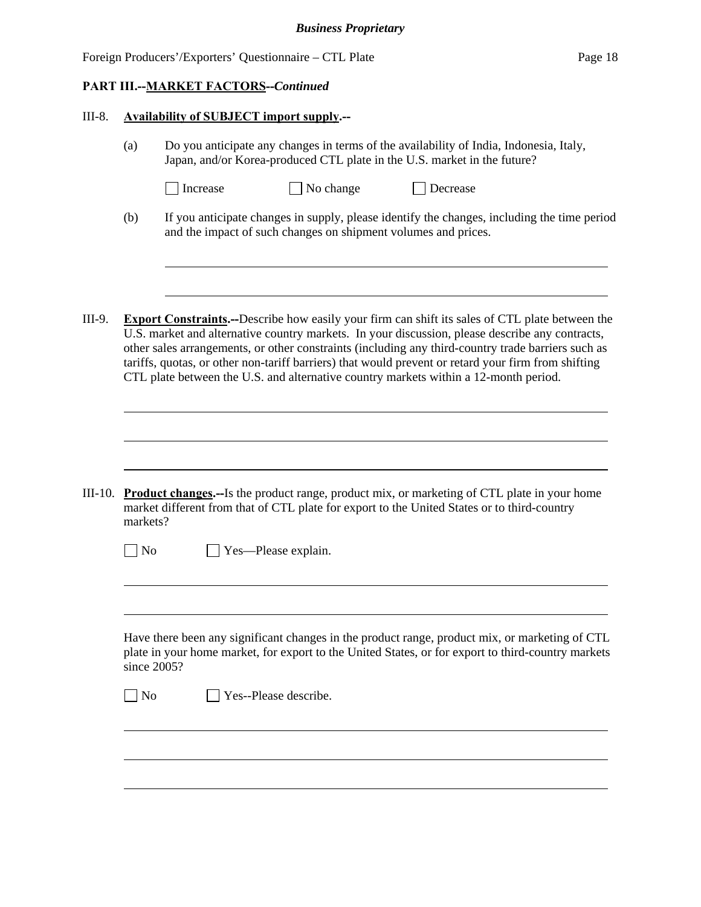| Foreign Producers'/Exporters' Questionnaire – CTL Plate<br>Page 18 |  |
|--------------------------------------------------------------------|--|
|--------------------------------------------------------------------|--|

#### **PART III.--MARKET FACTORS--***Continued*

l

l

 $\overline{a}$ 

#### III-8. **Availability of SUBJECT import supply.--**

- (a) Do you anticipate any changes in terms of the availability of India, Indonesia, Italy, Japan, and/or Korea-produced CTL plate in the U.S. market in the future?
	- □ Increase No change □ Decrease
		-
- (b) If you anticipate changes in supply, please identify the changes, including the time period and the impact of such changes on shipment volumes and prices.
- III-9. **Export Constraints.--**Describe how easily your firm can shift its sales of CTL plate between the U.S. market and alternative country markets. In your discussion, please describe any contracts, other sales arrangements, or other constraints (including any third-country trade barriers such as tariffs, quotas, or other non-tariff barriers) that would prevent or retard your firm from shifting CTL plate between the U.S. and alternative country markets within a 12-month period.

III-10. **Product changes.--**Is the product range, product mix, or marketing of CTL plate in your home market different from that of CTL plate for export to the United States or to third-country markets?

| $\Box$ No | $\Box$ Yes—Please explain. |
|-----------|----------------------------|
|-----------|----------------------------|

 Have there been any significant changes in the product range, product mix, or marketing of CTL plate in your home market, for export to the United States, or for export to third-country markets since 2005?

 $\neg$  No  $\neg$  Yes--Please describe.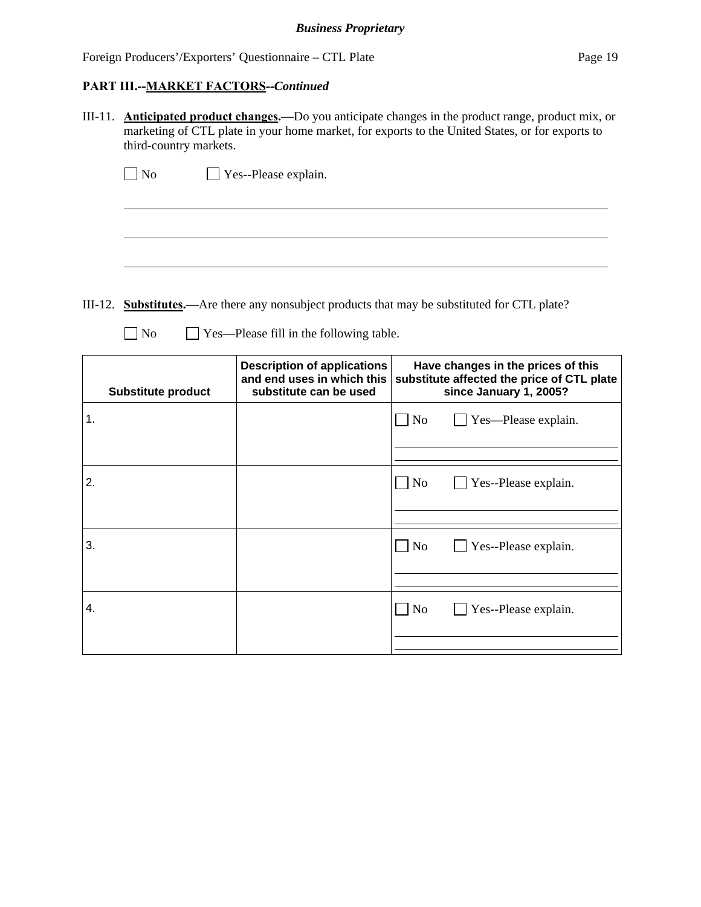#### **PART III.--MARKET FACTORS--***Continued*

 $\overline{a}$ 

III-11. **Anticipated product changes.—**Do you anticipate changes in the product range, product mix, or marketing of CTL plate in your home market, for exports to the United States, or for exports to third-country markets.

|  | $\Box$ No | $\Box$ Yes--Please explain. |
|--|-----------|-----------------------------|
|--|-----------|-----------------------------|

III-12. **Substitutes.—**Are there any nonsubject products that may be substituted for CTL plate?

No Yes—Please fill in the following table.

| <b>Substitute product</b> | <b>Description of applications</b><br>and end uses in which this<br>substitute can be used | Have changes in the prices of this<br>substitute affected the price of CTL plate<br>since January 1, 2005? |
|---------------------------|--------------------------------------------------------------------------------------------|------------------------------------------------------------------------------------------------------------|
| 1.                        |                                                                                            | $\Box$ Yes—Please explain.<br>$\Box$ No                                                                    |
| 2.                        |                                                                                            | $\overline{N}$                                                                                             |
|                           |                                                                                            | Yes--Please explain.                                                                                       |
| 3.                        |                                                                                            | $\overline{\rm No}$<br>Yes--Please explain.                                                                |
|                           |                                                                                            |                                                                                                            |
| 4.                        |                                                                                            | $\overline{N}$<br>$\blacksquare$ Yes--Please explain.                                                      |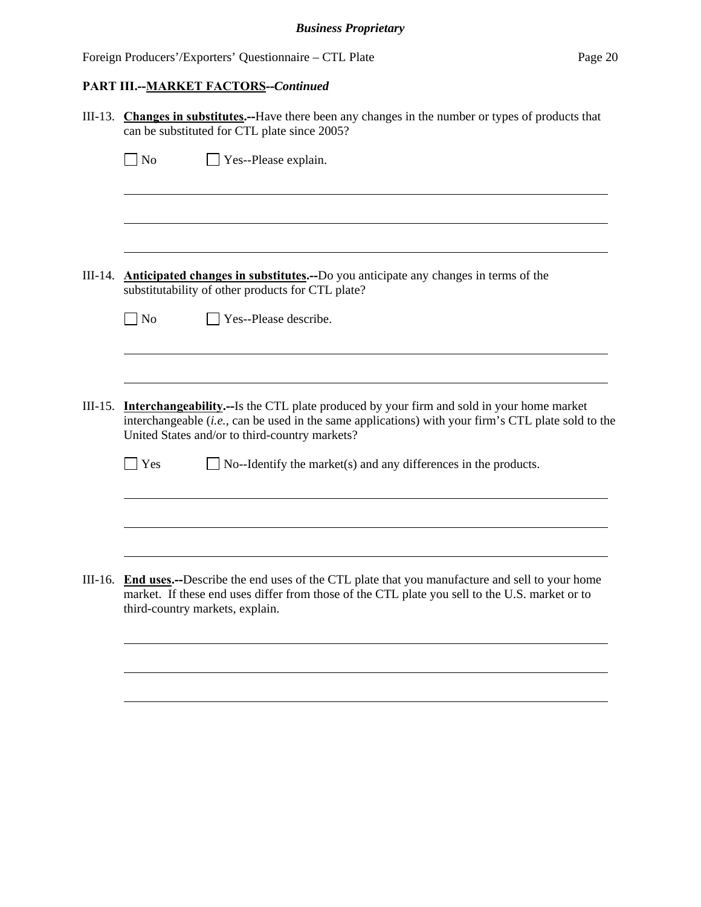# **PART III.--MARKET FACTORS--***Continued*

| III-13. Changes in substitutes.--Have there been any changes in the number or types of products that<br>can be substituted for CTL plate since 2005?                                                                                                             |
|------------------------------------------------------------------------------------------------------------------------------------------------------------------------------------------------------------------------------------------------------------------|
| $\exists$ No<br>$\Box$ Yes--Please explain.                                                                                                                                                                                                                      |
|                                                                                                                                                                                                                                                                  |
|                                                                                                                                                                                                                                                                  |
|                                                                                                                                                                                                                                                                  |
| III-14. <b>Anticipated changes in substitutes.</b> --Do you anticipate any changes in terms of the<br>substitutability of other products for CTL plate?                                                                                                          |
| $\Box$ No<br>$\Box$ Yes--Please describe.                                                                                                                                                                                                                        |
|                                                                                                                                                                                                                                                                  |
|                                                                                                                                                                                                                                                                  |
| III-15. <b>Interchangeability.</b> —Is the CTL plate produced by your firm and sold in your home market<br>interchangeable (i.e., can be used in the same applications) with your firm's CTL plate sold to the<br>United States and/or to third-country markets? |
| $\exists$ Yes<br>$\Box$ No--Identify the market(s) and any differences in the products.                                                                                                                                                                          |
|                                                                                                                                                                                                                                                                  |
|                                                                                                                                                                                                                                                                  |
| III-16. End uses.--Describe the end uses of the CTL plate that you manufacture and sell to your home<br>market. If these end uses differ from those of the CTL plate you sell to the U.S. market or to<br>third-country markets, explain.                        |
|                                                                                                                                                                                                                                                                  |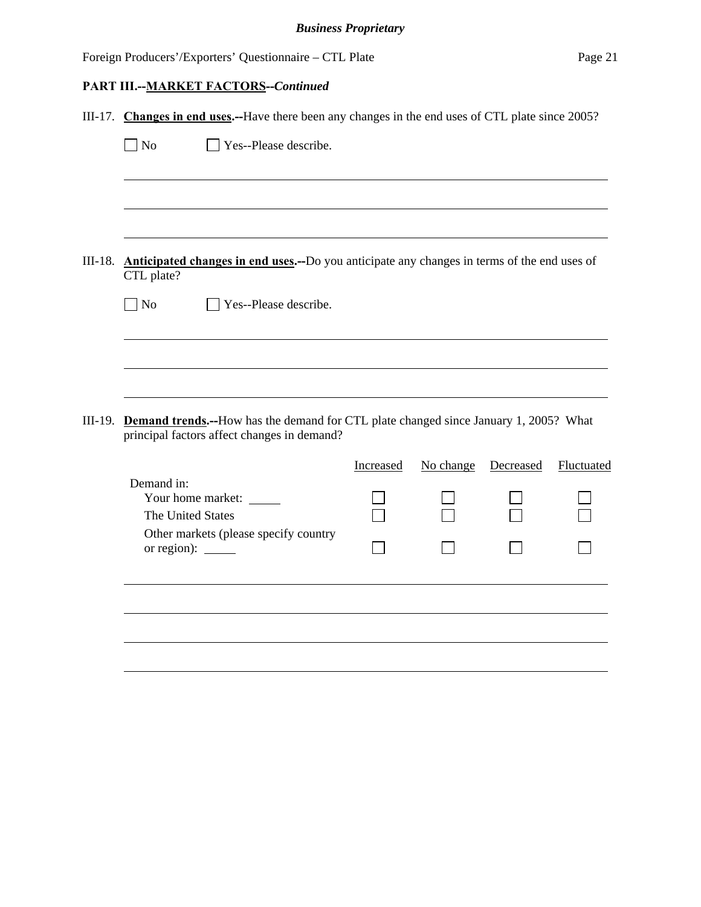# **PART III.--MARKET FACTORS--***Continued*

| III-17. Changes in end uses.--Have there been any changes in the end uses of CTL plate since 2005? |                                                                                                                                             |           |           |           |            |
|----------------------------------------------------------------------------------------------------|---------------------------------------------------------------------------------------------------------------------------------------------|-----------|-----------|-----------|------------|
| $\Box$ No                                                                                          | Yes--Please describe.                                                                                                                       |           |           |           |            |
|                                                                                                    |                                                                                                                                             |           |           |           |            |
|                                                                                                    |                                                                                                                                             |           |           |           |            |
|                                                                                                    |                                                                                                                                             |           |           |           |            |
| CTL plate?                                                                                         | III-18. Anticipated changes in end uses.--Do you anticipate any changes in terms of the end uses of                                         |           |           |           |            |
| $\Box$ No                                                                                          | Yes--Please describe.                                                                                                                       |           |           |           |            |
|                                                                                                    |                                                                                                                                             |           |           |           |            |
|                                                                                                    |                                                                                                                                             |           |           |           |            |
|                                                                                                    |                                                                                                                                             |           |           |           |            |
|                                                                                                    | III-19. Demand trends.--How has the demand for CTL plate changed since January 1, 2005? What<br>principal factors affect changes in demand? |           |           |           |            |
|                                                                                                    |                                                                                                                                             | Increased | No change | Decreased | Fluctuated |
| Demand in:                                                                                         | Your home market:                                                                                                                           |           |           |           |            |
| The United States                                                                                  |                                                                                                                                             |           |           |           |            |
| or region):                                                                                        | Other markets (please specify country                                                                                                       |           |           |           |            |
|                                                                                                    |                                                                                                                                             |           |           |           |            |
|                                                                                                    |                                                                                                                                             |           |           |           |            |
|                                                                                                    |                                                                                                                                             |           |           |           |            |
|                                                                                                    |                                                                                                                                             |           |           |           |            |
|                                                                                                    |                                                                                                                                             |           |           |           |            |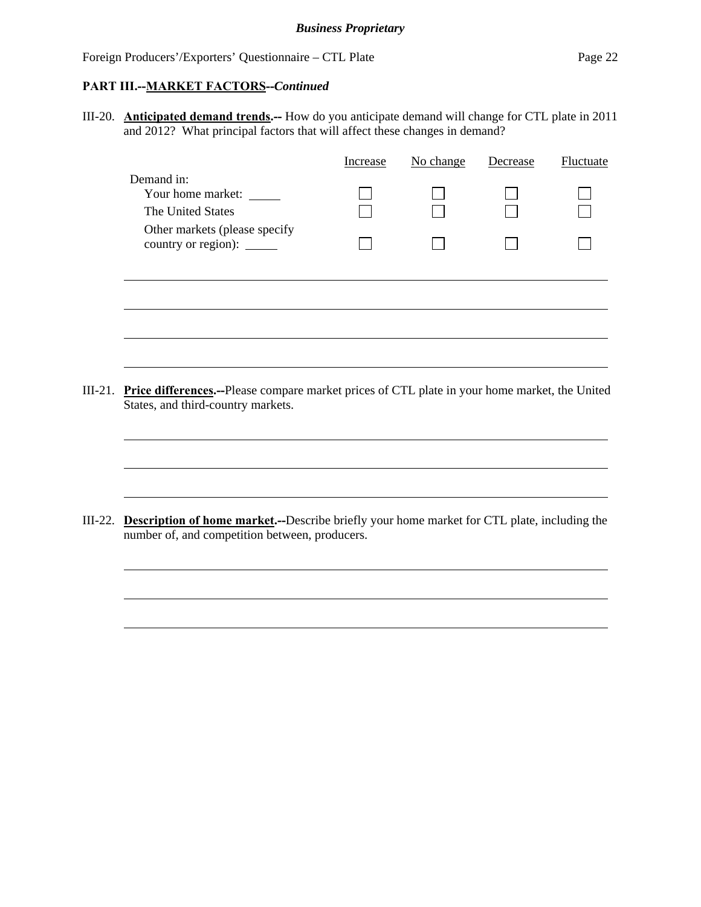#### **PART III.--MARKET FACTORS--***Continued*

l

III-20. **Anticipated demand trends.--** How do you anticipate demand will change for CTL plate in 2011 and 2012? What principal factors that will affect these changes in demand?

|         |                                                                                                                                     | Increase | No change | Decrease | <b>Fluctuate</b> |
|---------|-------------------------------------------------------------------------------------------------------------------------------------|----------|-----------|----------|------------------|
|         | Demand in:<br>Your home market:<br>The United States                                                                                |          |           |          |                  |
|         | Other markets (please specify<br>country or region): _______                                                                        |          |           |          |                  |
|         |                                                                                                                                     |          |           |          |                  |
|         |                                                                                                                                     |          |           |          |                  |
| III-21. | Price differences.--Please compare market prices of CTL plate in your home market, the United<br>States, and third-country markets. |          |           |          |                  |
|         |                                                                                                                                     |          |           |          |                  |

III-22. **Description of home market.--**Describe briefly your home market for CTL plate, including the number of, and competition between, producers.